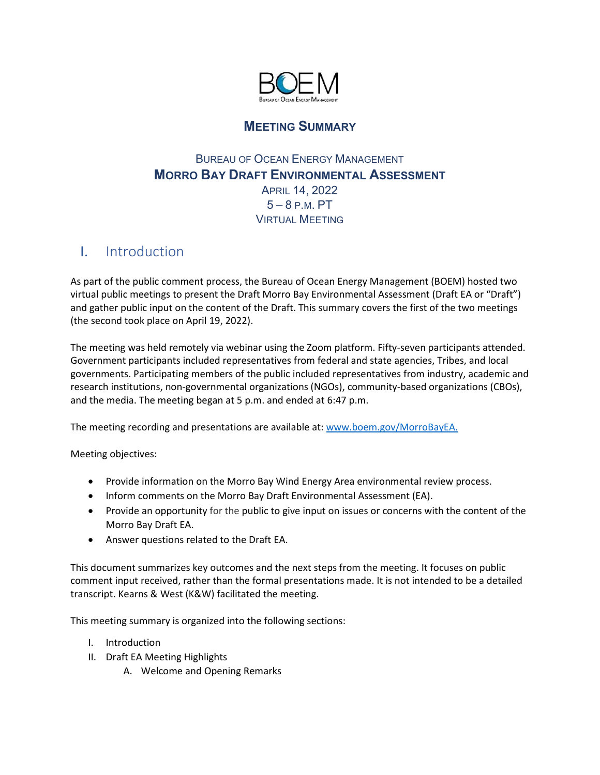

## **MEETING SUMMARY**

### BUREAU OF OCEAN ENERGY MANAGEMENT **MORRO BAY DRAFT ENVIRONMENTAL ASSESSMENT** APRIL 14, 2022 5 – 8 P.M. PT VIRTUAL MEETING

# I. Introduction

As part of the public comment process, the Bureau of Ocean Energy Management (BOEM) hosted two virtual public meetings to present the Draft Morro Bay Environmental Assessment (Draft EA or "Draft") and gather public input on the content of the Draft. This summary covers the first of the two meetings (the second took place on April 19, 2022).

The meeting was held remotely via webinar using the Zoom platform. Fifty-seven participants attended. Government participants included representatives from federal and state agencies, Tribes, and local governments. Participating members of the public included representatives from industry, academic and research institutions, non-governmental organizations (NGOs), community-based organizations (CBOs), and the media. The meeting began at 5 p.m. and ended at 6:47 p.m.

The meeting recording and presentations are available at: [www.boem.gov/MorroBayEA.](http://www.boem.gov/MorroBayEA)

Meeting objectives:

- Provide information on the Morro Bay Wind Energy Area environmental review process.
- Inform comments on the Morro Bay Draft Environmental Assessment (EA).
- Provide an opportunity for the public to give input on issues or concerns with the content of the Morro Bay Draft EA.
- Answer questions related to the Draft EA.

This document summarizes key outcomes and the next steps from the meeting. It focuses on public comment input received, rather than the formal presentations made. It is not intended to be a detailed transcript. Kearns & West (K&W) facilitated the meeting.

This meeting summary is organized into the following sections:

- I. Introduction
- II. Draft EA Meeting Highlights
	- A. Welcome and Opening Remarks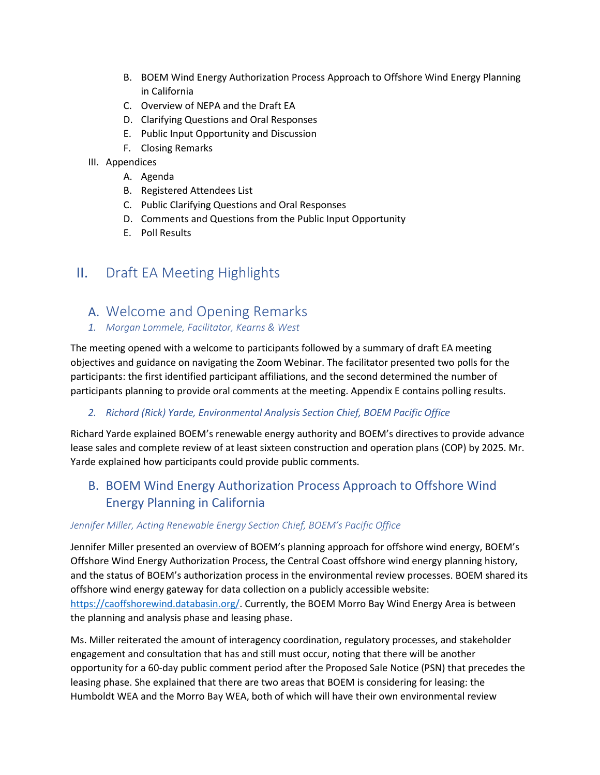- B. BOEM Wind Energy Authorization Process Approach to Offshore Wind Energy Planning in California
- C. Overview of NEPA and the Draft EA
- D. Clarifying Questions and Oral Responses
- E. Public Input Opportunity and Discussion
- F. Closing Remarks
- III. Appendices
	- A. Agenda
	- B. Registered Attendees List
	- C. Public Clarifying Questions and Oral Responses
	- D. Comments and Questions from the Public Input Opportunity
	- E. Poll Results

# II. Draft EA Meeting Highlights

### A. Welcome and Opening Remarks

*1. Morgan Lommele, Facilitator, Kearns & West*

The meeting opened with a welcome to participants followed by a summary of draft EA meeting objectives and guidance on navigating the Zoom Webinar. The facilitator presented two polls for the participants: the first identified participant affiliations, and the second determined the number of participants planning to provide oral comments at the meeting. Appendix E contains polling results.

#### *2. Richard (Rick) Yarde, Environmental Analysis Section Chief, BOEM Pacific Office*

Richard Yarde explained BOEM's renewable energy authority and BOEM's directives to provide advance lease sales and complete review of at least sixteen construction and operation plans (COP) by 2025. Mr. Yarde explained how participants could provide public comments.

# B. BOEM Wind Energy Authorization Process Approach to Offshore Wind Energy Planning in California

#### *Jennifer Miller, Acting Renewable Energy Section Chief, BOEM's Pacific Office*

Jennifer Miller presented an overview of BOEM's planning approach for offshore wind energy, BOEM's Offshore Wind Energy Authorization Process, the Central Coast offshore wind energy planning history, and the status of BOEM's authorization process in the environmental review processes. BOEM shared its offshore wind energy gateway for data collection on a publicly accessible website: [https://caoffshorewind.databasin.org/.](https://caoffshorewind.databasin.org/) Currently, the BOEM Morro Bay Wind Energy Area is between the planning and analysis phase and leasing phase.

Ms. Miller reiterated the amount of interagency coordination, regulatory processes, and stakeholder engagement and consultation that has and still must occur, noting that there will be another opportunity for a 60-day public comment period after the Proposed Sale Notice (PSN) that precedes the leasing phase. She explained that there are two areas that BOEM is considering for leasing: the Humboldt WEA and the Morro Bay WEA, both of which will have their own environmental review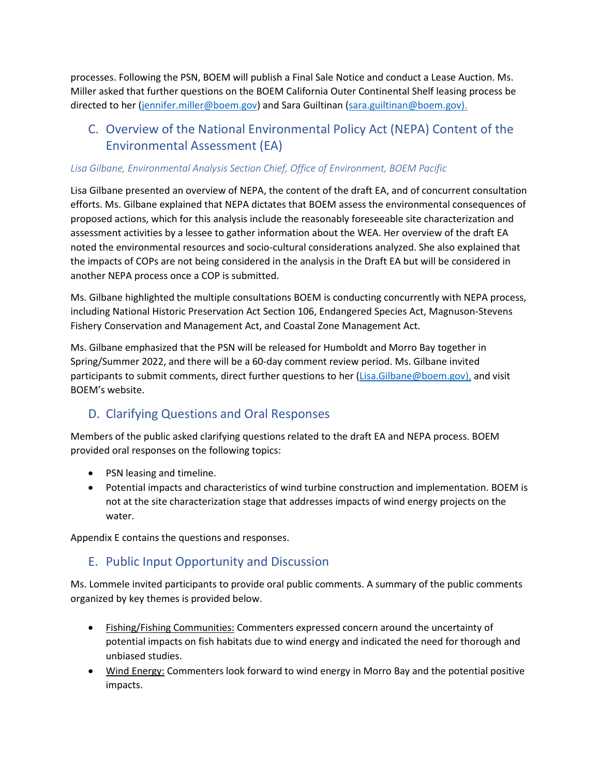processes. Following the PSN, BOEM will publish a Final Sale Notice and conduct a Lease Auction. Ms. Miller asked that further questions on the BOEM California Outer Continental Shelf leasing process be directed to her [\(jennifer.miller@boem.gov\)](mailto:jennifer.miller@boem.gov) and Sara Guiltinan [\(sara.guiltinan@boem.gov\).](mailto:sara.guiltinan@boem.gov).) 

## C. Overview of the National Environmental Policy Act (NEPA) Content of the Environmental Assessment (EA)

#### *Lisa Gilbane, Environmental Analysis Section Chief, Office of Environment, BOEM Pacific*

Lisa Gilbane presented an overview of NEPA, the content of the draft EA, and of concurrent consultation efforts. Ms. Gilbane explained that NEPA dictates that BOEM assess the environmental consequences of proposed actions, which for this analysis include the reasonably foreseeable site characterization and assessment activities by a lessee to gather information about the WEA. Her overview of the draft EA noted the environmental resources and socio-cultural considerations analyzed. She also explained that the impacts of COPs are not being considered in the analysis in the Draft EA but will be considered in another NEPA process once a COP is submitted.

Ms. Gilbane highlighted the multiple consultations BOEM is conducting concurrently with NEPA process, including National Historic Preservation Act Section 106, Endangered Species Act, Magnuson-Stevens Fishery Conservation and Management Act, and Coastal Zone Management Act.

Ms. Gilbane emphasized that the PSN will be released for Humboldt and Morro Bay together in Spring/Summer 2022, and there will be a 60-day comment review period. Ms. Gilbane invited participants to submit comments, direct further questions to her [\(Lisa.Gilbane@boem.gov\)](mailto:Lisa.Gilbane@boem.gov), and visit BOEM's website.

### D. Clarifying Questions and Oral Responses

Members of the public asked clarifying questions related to the draft EA and NEPA process. BOEM provided oral responses on the following topics:

- PSN leasing and timeline.
- Potential impacts and characteristics of wind turbine construction and implementation. BOEM is not at the site characterization stage that addresses impacts of wind energy projects on the water.

Appendix E contains the questions and responses.

### E. Public Input Opportunity and Discussion

Ms. Lommele invited participants to provide oral public comments. A summary of the public comments organized by key themes is provided below.

- Fishing/Fishing Communities: Commenters expressed concern around the uncertainty of potential impacts on fish habitats due to wind energy and indicated the need for thorough and unbiased studies.
- Wind Energy: Commenters look forward to wind energy in Morro Bay and the potential positive impacts.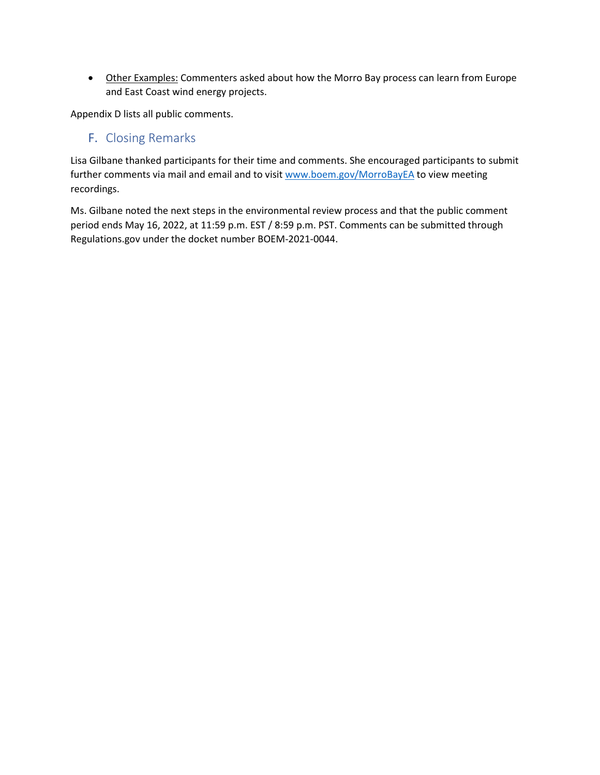• Other Examples: Commenters asked about how the Morro Bay process can learn from Europe and East Coast wind energy projects.

Appendix D lists all public comments.

### F. Closing Remarks

Lisa Gilbane thanked participants for their time and comments. She encouraged participants to submit further comments via mail and email and to visit [www.boem.gov/MorroBayEA](http://www.boem.gov/MorroBayEA) to view meeting recordings.

Ms. Gilbane noted the next steps in the environmental review process and that the public comment period ends May 16, 2022, at 11:59 p.m. EST / 8:59 p.m. PST. Comments can be submitted through Regulations.gov under the docket number BOEM-2021-0044.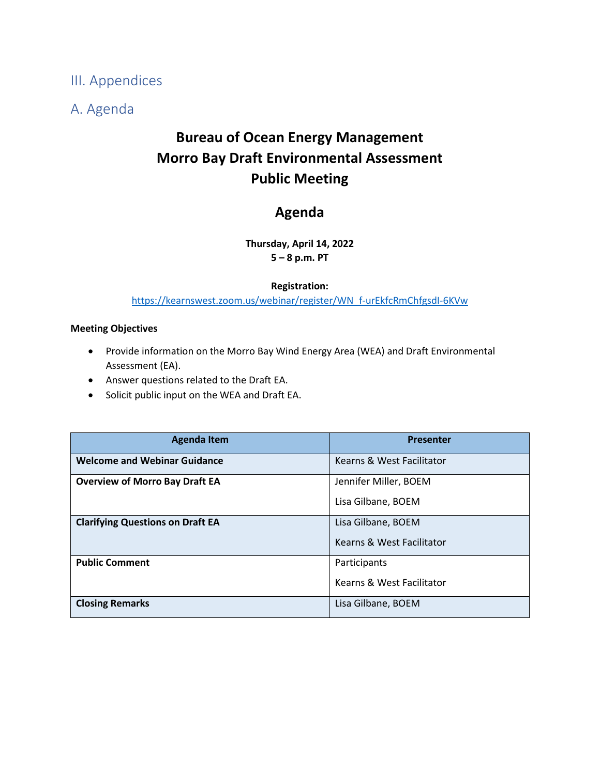III. Appendices

A. Agenda

# **Bureau of Ocean Energy Management Morro Bay Draft Environmental Assessment Public Meeting**

# **Agenda**

**Thursday, April 14, 2022 5 – 8 p.m. PT**

#### **Registration:**

[https://kearnswest.zoom.us/webinar/register/WN\\_f-urEkfcRmChfgsdI-6KVw](https://kearnswest.zoom.us/webinar/register/WN_f-urEkfcRmChfgsdI-6KVw)

#### **Meeting Objectives**

- Provide information on the Morro Bay Wind Energy Area (WEA) and Draft Environmental Assessment (EA).
- Answer questions related to the Draft EA.
- Solicit public input on the WEA and Draft EA.

| <b>Agenda Item</b>                      | <b>Presenter</b>          |
|-----------------------------------------|---------------------------|
| <b>Welcome and Webinar Guidance</b>     | Kearns & West Facilitator |
| <b>Overview of Morro Bay Draft EA</b>   | Jennifer Miller, BOEM     |
|                                         | Lisa Gilbane, BOEM        |
| <b>Clarifying Questions on Draft EA</b> | Lisa Gilbane, BOEM        |
|                                         | Kearns & West Facilitator |
| <b>Public Comment</b>                   | Participants              |
|                                         | Kearns & West Facilitator |
| <b>Closing Remarks</b>                  | Lisa Gilbane, BOEM        |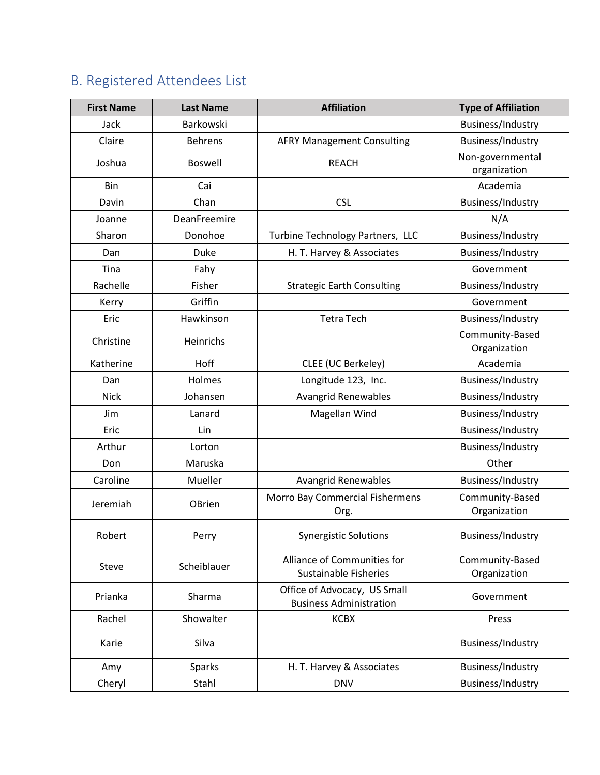# B. Registered Attendees List

| <b>First Name</b> | <b>Last Name</b> | <b>Affiliation</b>                                             | <b>Type of Affiliation</b>       |
|-------------------|------------------|----------------------------------------------------------------|----------------------------------|
| Jack              | Barkowski        |                                                                | Business/Industry                |
| Claire            | <b>Behrens</b>   | <b>AFRY Management Consulting</b>                              | Business/Industry                |
| Joshua            | <b>Boswell</b>   | <b>REACH</b>                                                   | Non-governmental<br>organization |
| Bin               | Cai              |                                                                | Academia                         |
| Davin             | Chan             | <b>CSL</b>                                                     | Business/Industry                |
| Joanne            | DeanFreemire     |                                                                | N/A                              |
| Sharon            | Donohoe          | Turbine Technology Partners, LLC                               | Business/Industry                |
| Dan               | Duke             | H. T. Harvey & Associates                                      | Business/Industry                |
| Tina              | Fahy             |                                                                | Government                       |
| Rachelle          | Fisher           | <b>Strategic Earth Consulting</b>                              | Business/Industry                |
| Kerry             | Griffin          |                                                                | Government                       |
| Eric              | Hawkinson        | <b>Tetra Tech</b>                                              | Business/Industry                |
| Christine         | Heinrichs        |                                                                | Community-Based<br>Organization  |
| Katherine         | Hoff             | CLEE (UC Berkeley)                                             | Academia                         |
| Dan               | Holmes           | Longitude 123, Inc.                                            | Business/Industry                |
| <b>Nick</b>       | Johansen         | <b>Avangrid Renewables</b>                                     | Business/Industry                |
| Jim               | Lanard           | Magellan Wind                                                  | Business/Industry                |
| Eric              | Lin              |                                                                | Business/Industry                |
| Arthur            | Lorton           |                                                                | Business/Industry                |
| Don               | Maruska          |                                                                | Other                            |
| Caroline          | Mueller          | <b>Avangrid Renewables</b>                                     | Business/Industry                |
| Jeremiah          | OBrien           | Morro Bay Commercial Fishermens<br>Org.                        | Community-Based<br>Organization  |
| Robert            | Perry            | <b>Synergistic Solutions</b>                                   | Business/Industry                |
| Steve             | Scheiblauer      | Alliance of Communities for<br><b>Sustainable Fisheries</b>    | Community-Based<br>Organization  |
| Prianka           | Sharma           | Office of Advocacy, US Small<br><b>Business Administration</b> | Government                       |
| Rachel            | Showalter        | <b>KCBX</b>                                                    | Press                            |
| Karie             | Silva            |                                                                | Business/Industry                |
| Amy               | <b>Sparks</b>    | H. T. Harvey & Associates                                      | Business/Industry                |
| Cheryl            | Stahl            | <b>DNV</b>                                                     | Business/Industry                |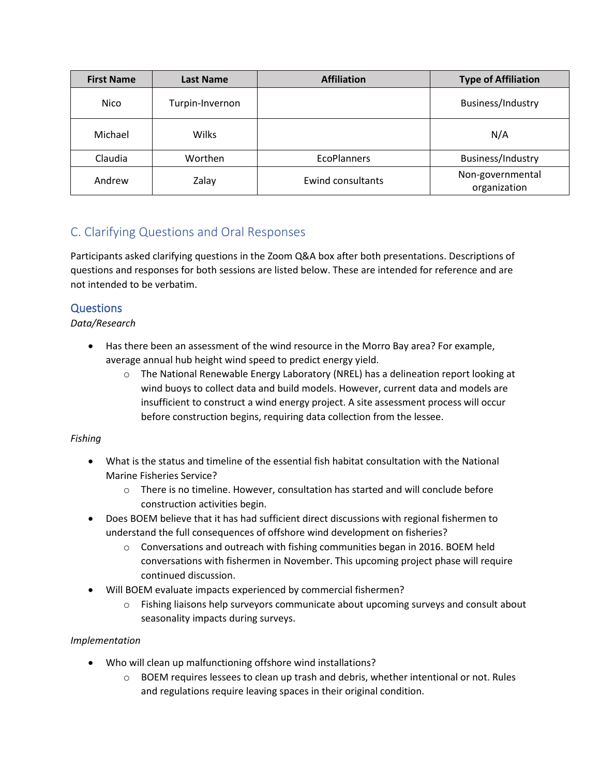| <b>First Name</b> | <b>Last Name</b> | <b>Affiliation</b>       | <b>Type of Affiliation</b>       |
|-------------------|------------------|--------------------------|----------------------------------|
| Nico              | Turpin-Invernon  |                          | Business/Industry                |
| Michael           | <b>Wilks</b>     |                          | N/A                              |
| Claudia           | Worthen          | <b>EcoPlanners</b>       | Business/Industry                |
| Andrew            | Zalay            | <b>Ewind consultants</b> | Non-governmental<br>organization |

## C. Clarifying Questions and Oral Responses

Participants asked clarifying questions in the Zoom Q&A box after both presentations. Descriptions of questions and responses for both sessions are listed below. These are intended for reference and are not intended to be verbatim.

### **Questions**

*Data/Research*

- Has there been an assessment of the wind resource in the Morro Bay area? For example, average annual hub height wind speed to predict energy yield.
	- $\circ$  The National Renewable Energy Laboratory (NREL) has a delineation report looking at wind buoys to collect data and build models. However, current data and models are insufficient to construct a wind energy project. A site assessment process will occur before construction begins, requiring data collection from the lessee.

### *Fishing*

- What is the status and timeline of the essential fish habitat consultation with the National Marine Fisheries Service?
	- $\circ$  There is no timeline. However, consultation has started and will conclude before construction activities begin.
- Does BOEM believe that it has had sufficient direct discussions with regional fishermen to understand the full consequences of offshore wind development on fisheries?
	- $\circ$  Conversations and outreach with fishing communities began in 2016. BOEM held conversations with fishermen in November. This upcoming project phase will require continued discussion.
- Will BOEM evaluate impacts experienced by commercial fishermen?
	- $\circ$  Fishing liaisons help surveyors communicate about upcoming surveys and consult about seasonality impacts during surveys.

### *Implementation*

- Who will clean up malfunctioning offshore wind installations?
	- $\circ$  BOEM requires lessees to clean up trash and debris, whether intentional or not. Rules and regulations require leaving spaces in their original condition.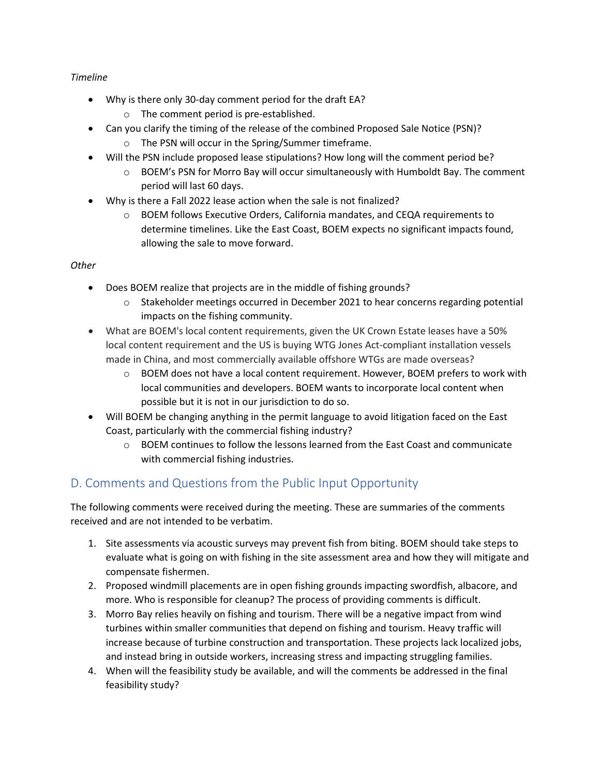#### *Timeline*

- Why is there only 30-day comment period for the draft EA?
	- o The comment period is pre-established.
- Can you clarify the timing of the release of the combined Proposed Sale Notice (PSN)? o The PSN will occur in the Spring/Summer timeframe.
- Will the PSN include proposed lease stipulations? How long will the comment period be?
	- o BOEM's PSN for Morro Bay will occur simultaneously with Humboldt Bay. The comment period will last 60 days.
- Why is there a Fall 2022 lease action when the sale is not finalized?
	- o BOEM follows Executive Orders, California mandates, and CEQA requirements to determine timelines. Like the East Coast, BOEM expects no significant impacts found, allowing the sale to move forward.

#### *Other*

- Does BOEM realize that projects are in the middle of fishing grounds?
	- $\circ$  Stakeholder meetings occurred in December 2021 to hear concerns regarding potential impacts on the fishing community.
- What are BOEM's local content requirements, given the UK Crown Estate leases have a 50% local content requirement and the US is buying WTG Jones Act-compliant installation vessels made in China, and most commercially available offshore WTGs are made overseas?
	- $\circ$  BOEM does not have a local content requirement. However, BOEM prefers to work with local communities and developers. BOEM wants to incorporate local content when possible but it is not in our jurisdiction to do so.
- Will BOEM be changing anything in the permit language to avoid litigation faced on the East Coast, particularly with the commercial fishing industry?
	- $\circ$  BOEM continues to follow the lessons learned from the East Coast and communicate with commercial fishing industries.

### D. Comments and Questions from the Public Input Opportunity

The following comments were received during the meeting. These are summaries of the comments received and are not intended to be verbatim.

- 1. Site assessments via acoustic surveys may prevent fish from biting. BOEM should take steps to evaluate what is going on with fishing in the site assessment area and how they will mitigate and compensate fishermen.
- 2. Proposed windmill placements are in open fishing grounds impacting swordfish, albacore, and more. Who is responsible for cleanup? The process of providing comments is difficult.
- 3. Morro Bay relies heavily on fishing and tourism. There will be a negative impact from wind turbines within smaller communities that depend on fishing and tourism. Heavy traffic will increase because of turbine construction and transportation. These projects lack localized jobs, and instead bring in outside workers, increasing stress and impacting struggling families.
- 4. When will the feasibility study be available, and will the comments be addressed in the final feasibility study?